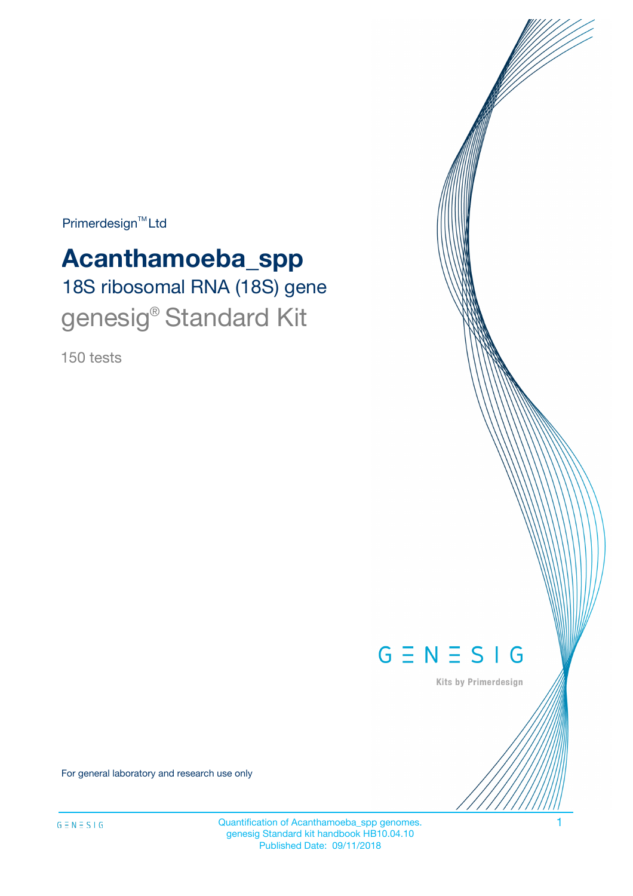Primerdesign<sup>™</sup>Ltd

# **Acanthamoeba\_spp**

18S ribosomal RNA (18S) gene genesig® Standard Kit

150 tests



Kits by Primerdesign

For general laboratory and research use only

Quantification of Acanthamoeba\_spp genomes. 1 genesig Standard kit handbook HB10.04.10 Published Date: 09/11/2018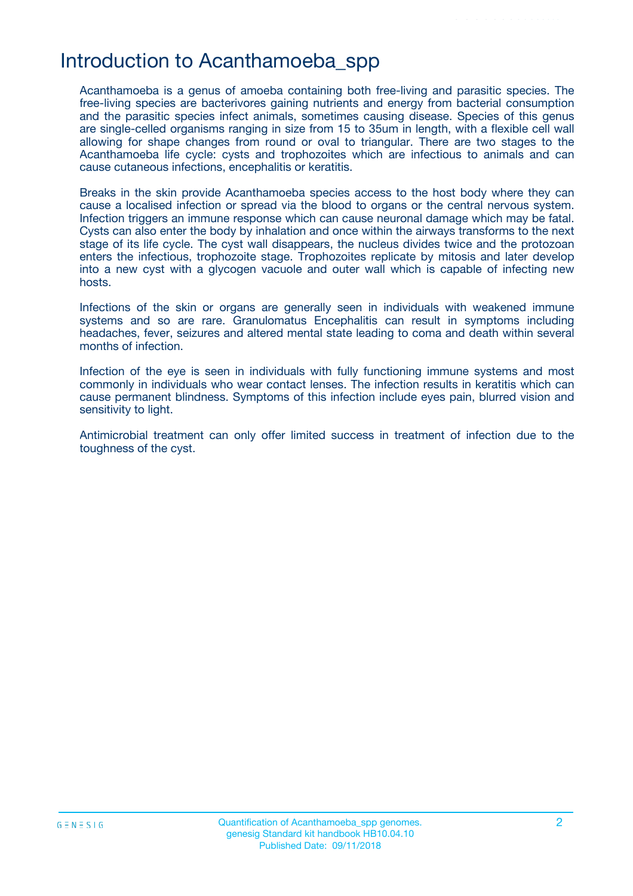### Introduction to Acanthamoeba\_spp

Acanthamoeba is a genus of amoeba containing both free-living and parasitic species. The free-living species are bacterivores gaining nutrients and energy from bacterial consumption and the parasitic species infect animals, sometimes causing disease. Species of this genus are single-celled organisms ranging in size from 15 to 35um in length, with a flexible cell wall allowing for shape changes from round or oval to triangular. There are two stages to the Acanthamoeba life cycle: cysts and trophozoites which are infectious to animals and can cause cutaneous infections, encephalitis or keratitis.

Breaks in the skin provide Acanthamoeba species access to the host body where they can cause a localised infection or spread via the blood to organs or the central nervous system. Infection triggers an immune response which can cause neuronal damage which may be fatal. Cysts can also enter the body by inhalation and once within the airways transforms to the next stage of its life cycle. The cyst wall disappears, the nucleus divides twice and the protozoan enters the infectious, trophozoite stage. Trophozoites replicate by mitosis and later develop into a new cyst with a glycogen vacuole and outer wall which is capable of infecting new hosts.

Infections of the skin or organs are generally seen in individuals with weakened immune systems and so are rare. Granulomatus Encephalitis can result in symptoms including headaches, fever, seizures and altered mental state leading to coma and death within several months of infection.

Infection of the eye is seen in individuals with fully functioning immune systems and most commonly in individuals who wear contact lenses. The infection results in keratitis which can cause permanent blindness. Symptoms of this infection include eyes pain, blurred vision and sensitivity to light.

Antimicrobial treatment can only offer limited success in treatment of infection due to the toughness of the cyst.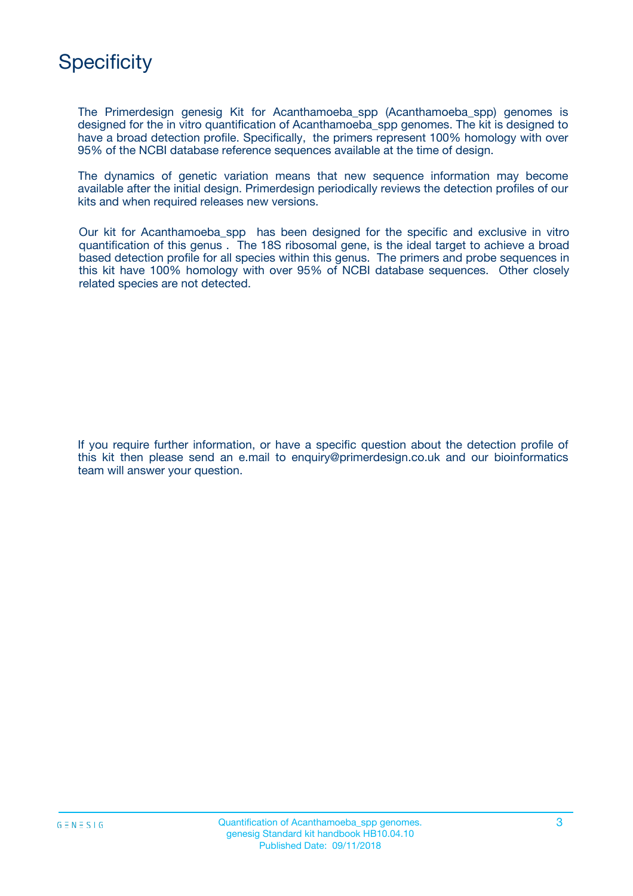# **Specificity**

The Primerdesign genesig Kit for Acanthamoeba\_spp (Acanthamoeba\_spp) genomes is designed for the in vitro quantification of Acanthamoeba\_spp genomes. The kit is designed to have a broad detection profile. Specifically, the primers represent 100% homology with over 95% of the NCBI database reference sequences available at the time of design.

The dynamics of genetic variation means that new sequence information may become available after the initial design. Primerdesign periodically reviews the detection profiles of our kits and when required releases new versions.

Our kit for Acanthamoeba\_spp has been designed for the specific and exclusive in vitro quantification of this genus . The 18S ribosomal gene, is the ideal target to achieve a broad based detection profile for all species within this genus. The primers and probe sequences in this kit have 100% homology with over 95% of NCBI database sequences. Other closely related species are not detected.

If you require further information, or have a specific question about the detection profile of this kit then please send an e.mail to enquiry@primerdesign.co.uk and our bioinformatics team will answer your question.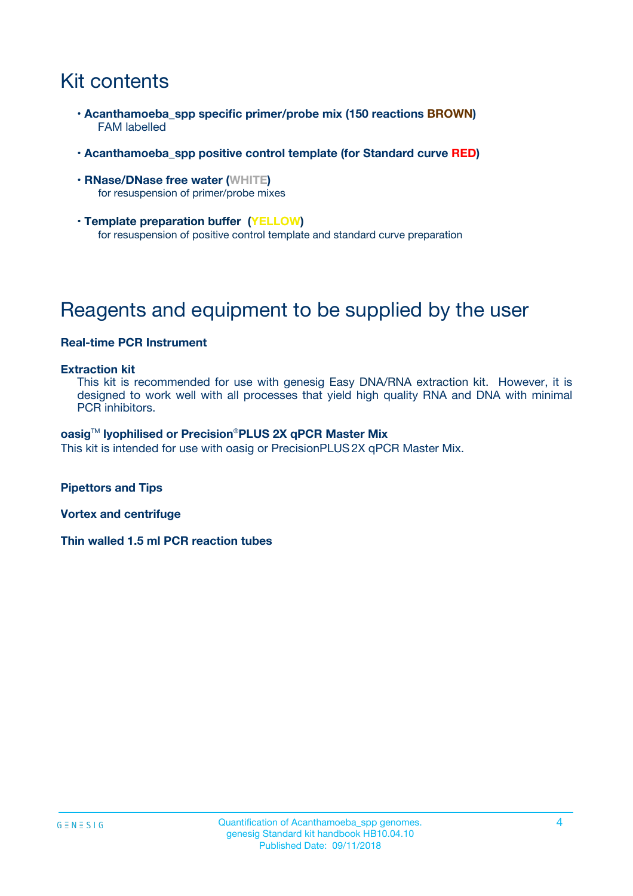# Kit contents

- **Acanthamoeba\_spp specific primer/probe mix (150 reactions BROWN)** FAM labelled
- **Acanthamoeba\_spp positive control template (for Standard curve RED)**
- **RNase/DNase free water (WHITE)** for resuspension of primer/probe mixes
- **Template preparation buffer (YELLOW)** for resuspension of positive control template and standard curve preparation

# Reagents and equipment to be supplied by the user

#### **Real-time PCR Instrument**

#### **Extraction kit**

This kit is recommended for use with genesig Easy DNA/RNA extraction kit. However, it is designed to work well with all processes that yield high quality RNA and DNA with minimal PCR inhibitors.

#### **oasig**TM **lyophilised or Precision**®**PLUS 2X qPCR Master Mix**

This kit is intended for use with oasig or PrecisionPLUS2X qPCR Master Mix.

**Pipettors and Tips**

**Vortex and centrifuge**

**Thin walled 1.5 ml PCR reaction tubes**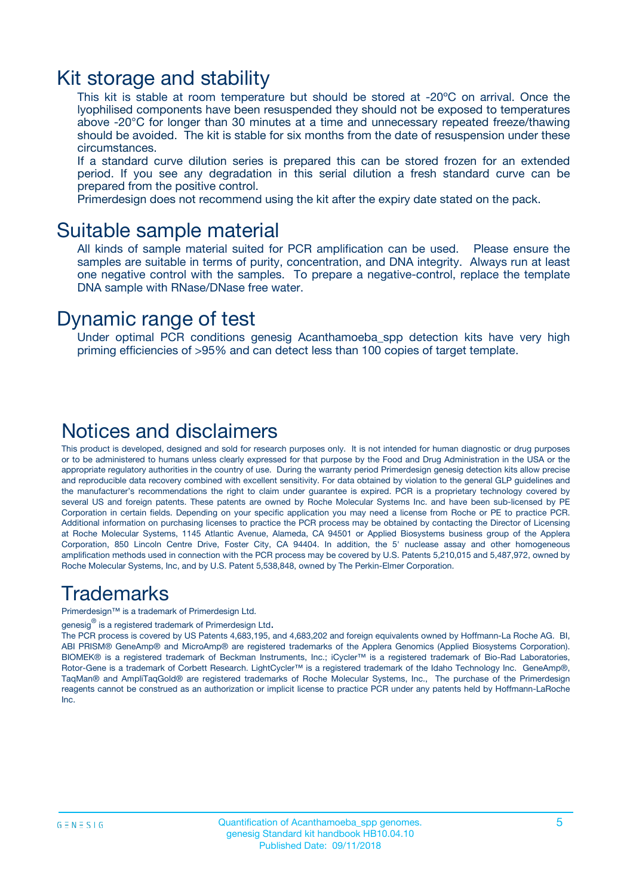### Kit storage and stability

This kit is stable at room temperature but should be stored at -20ºC on arrival. Once the lyophilised components have been resuspended they should not be exposed to temperatures above -20°C for longer than 30 minutes at a time and unnecessary repeated freeze/thawing should be avoided. The kit is stable for six months from the date of resuspension under these circumstances.

If a standard curve dilution series is prepared this can be stored frozen for an extended period. If you see any degradation in this serial dilution a fresh standard curve can be prepared from the positive control.

Primerdesign does not recommend using the kit after the expiry date stated on the pack.

### Suitable sample material

All kinds of sample material suited for PCR amplification can be used. Please ensure the samples are suitable in terms of purity, concentration, and DNA integrity. Always run at least one negative control with the samples. To prepare a negative-control, replace the template DNA sample with RNase/DNase free water.

### Dynamic range of test

Under optimal PCR conditions genesig Acanthamoeba\_spp detection kits have very high priming efficiencies of >95% and can detect less than 100 copies of target template.

### Notices and disclaimers

This product is developed, designed and sold for research purposes only. It is not intended for human diagnostic or drug purposes or to be administered to humans unless clearly expressed for that purpose by the Food and Drug Administration in the USA or the appropriate regulatory authorities in the country of use. During the warranty period Primerdesign genesig detection kits allow precise and reproducible data recovery combined with excellent sensitivity. For data obtained by violation to the general GLP guidelines and the manufacturer's recommendations the right to claim under guarantee is expired. PCR is a proprietary technology covered by several US and foreign patents. These patents are owned by Roche Molecular Systems Inc. and have been sub-licensed by PE Corporation in certain fields. Depending on your specific application you may need a license from Roche or PE to practice PCR. Additional information on purchasing licenses to practice the PCR process may be obtained by contacting the Director of Licensing at Roche Molecular Systems, 1145 Atlantic Avenue, Alameda, CA 94501 or Applied Biosystems business group of the Applera Corporation, 850 Lincoln Centre Drive, Foster City, CA 94404. In addition, the 5' nuclease assay and other homogeneous amplification methods used in connection with the PCR process may be covered by U.S. Patents 5,210,015 and 5,487,972, owned by Roche Molecular Systems, Inc, and by U.S. Patent 5,538,848, owned by The Perkin-Elmer Corporation.

### Trademarks

Primerdesign™ is a trademark of Primerdesign Ltd.

genesig $^\circledR$  is a registered trademark of Primerdesign Ltd.

The PCR process is covered by US Patents 4,683,195, and 4,683,202 and foreign equivalents owned by Hoffmann-La Roche AG. BI, ABI PRISM® GeneAmp® and MicroAmp® are registered trademarks of the Applera Genomics (Applied Biosystems Corporation). BIOMEK® is a registered trademark of Beckman Instruments, Inc.; iCycler™ is a registered trademark of Bio-Rad Laboratories, Rotor-Gene is a trademark of Corbett Research. LightCycler™ is a registered trademark of the Idaho Technology Inc. GeneAmp®, TaqMan® and AmpliTaqGold® are registered trademarks of Roche Molecular Systems, Inc., The purchase of the Primerdesign reagents cannot be construed as an authorization or implicit license to practice PCR under any patents held by Hoffmann-LaRoche Inc.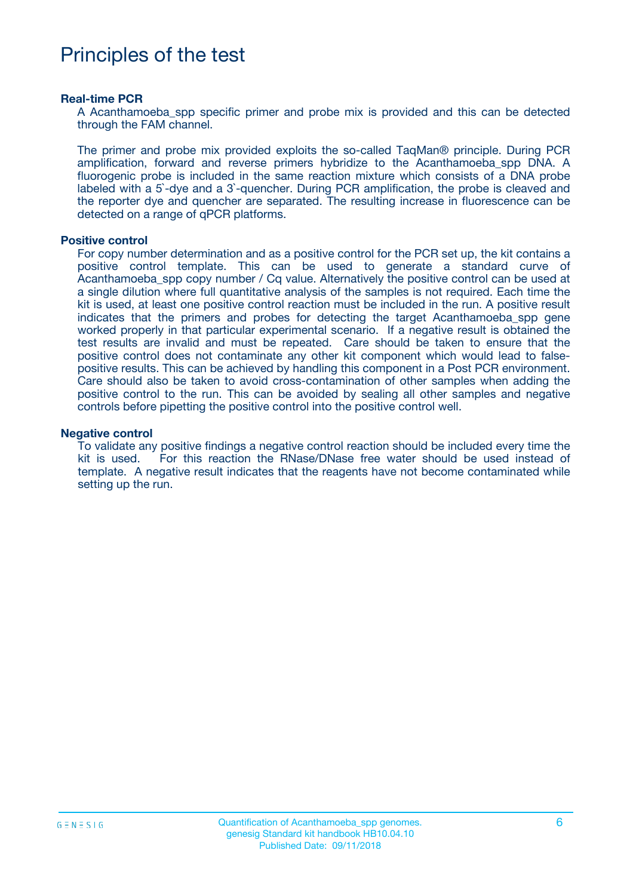# Principles of the test

#### **Real-time PCR**

A Acanthamoeba\_spp specific primer and probe mix is provided and this can be detected through the FAM channel.

The primer and probe mix provided exploits the so-called TaqMan® principle. During PCR amplification, forward and reverse primers hybridize to the Acanthamoeba\_spp DNA. A fluorogenic probe is included in the same reaction mixture which consists of a DNA probe labeled with a 5`-dye and a 3`-quencher. During PCR amplification, the probe is cleaved and the reporter dye and quencher are separated. The resulting increase in fluorescence can be detected on a range of qPCR platforms.

#### **Positive control**

For copy number determination and as a positive control for the PCR set up, the kit contains a positive control template. This can be used to generate a standard curve of Acanthamoeba\_spp copy number / Cq value. Alternatively the positive control can be used at a single dilution where full quantitative analysis of the samples is not required. Each time the kit is used, at least one positive control reaction must be included in the run. A positive result indicates that the primers and probes for detecting the target Acanthamoeba\_spp gene worked properly in that particular experimental scenario. If a negative result is obtained the test results are invalid and must be repeated. Care should be taken to ensure that the positive control does not contaminate any other kit component which would lead to falsepositive results. This can be achieved by handling this component in a Post PCR environment. Care should also be taken to avoid cross-contamination of other samples when adding the positive control to the run. This can be avoided by sealing all other samples and negative controls before pipetting the positive control into the positive control well.

#### **Negative control**

To validate any positive findings a negative control reaction should be included every time the kit is used. For this reaction the RNase/DNase free water should be used instead of template. A negative result indicates that the reagents have not become contaminated while setting up the run.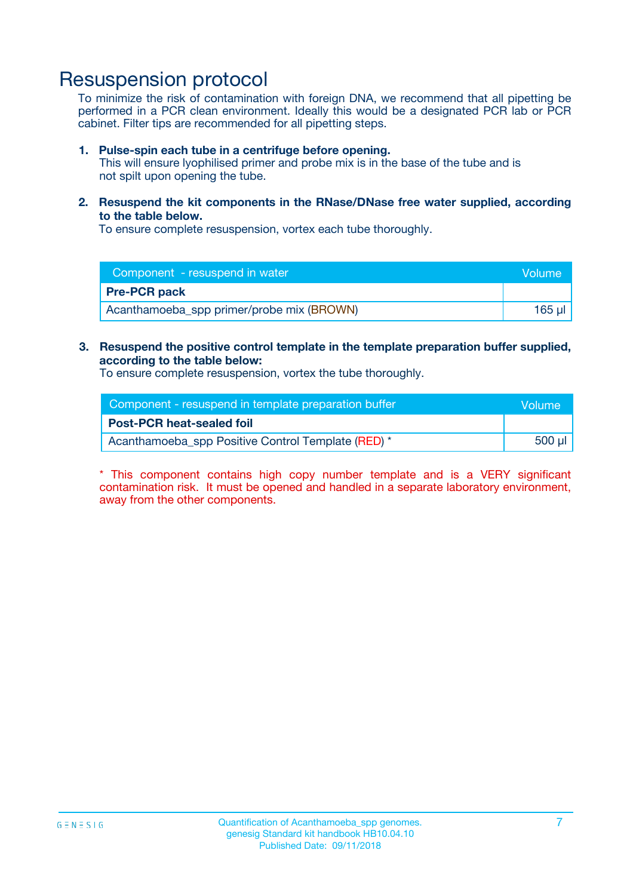## Resuspension protocol

To minimize the risk of contamination with foreign DNA, we recommend that all pipetting be performed in a PCR clean environment. Ideally this would be a designated PCR lab or PCR cabinet. Filter tips are recommended for all pipetting steps.

#### **1. Pulse-spin each tube in a centrifuge before opening.**

This will ensure lyophilised primer and probe mix is in the base of the tube and is not spilt upon opening the tube.

**2. Resuspend the kit components in the RNase/DNase free water supplied, according to the table below.**

To ensure complete resuspension, vortex each tube thoroughly.

| Component - resuspend in water            | Volume |
|-------------------------------------------|--------|
| <b>Pre-PCR pack</b>                       |        |
| Acanthamoeba_spp primer/probe mix (BROWN) | 165 ul |

**3. Resuspend the positive control template in the template preparation buffer supplied, according to the table below:**

To ensure complete resuspension, vortex the tube thoroughly.

| Component - resuspend in template preparation buffer | lVolume' |
|------------------------------------------------------|----------|
| <b>Post-PCR heat-sealed foil</b>                     |          |
| Acanthamoeba_spp Positive Control Template (RED) *   | 500 µl   |

\* This component contains high copy number template and is a VERY significant contamination risk. It must be opened and handled in a separate laboratory environment, away from the other components.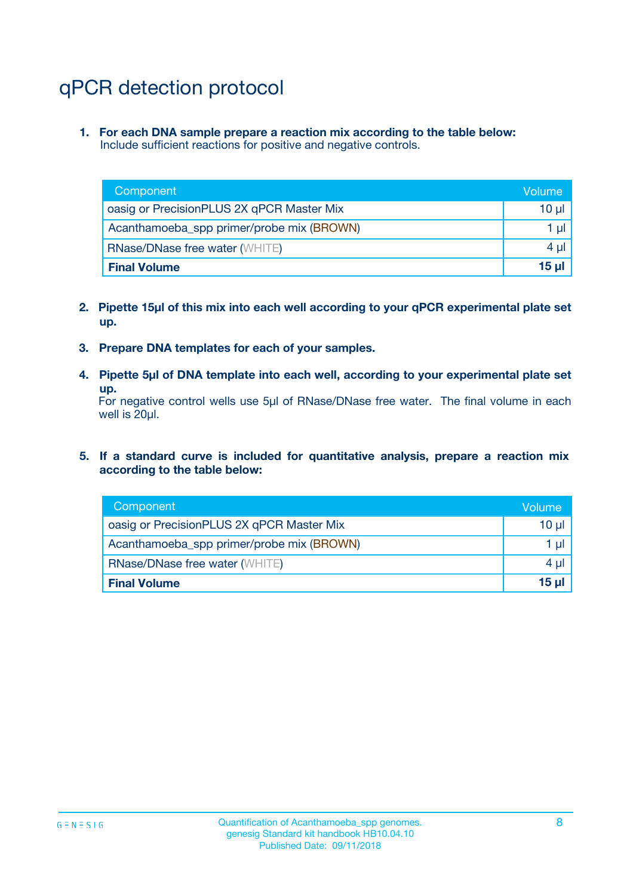# qPCR detection protocol

**1. For each DNA sample prepare a reaction mix according to the table below:** Include sufficient reactions for positive and negative controls.

| Component                                 | Volume       |
|-------------------------------------------|--------------|
| oasig or PrecisionPLUS 2X qPCR Master Mix | $10 \mu$     |
| Acanthamoeba_spp primer/probe mix (BROWN) | 1 µl         |
| <b>RNase/DNase free water (WHITE)</b>     | $4 \mu$      |
| <b>Final Volume</b>                       | <b>15 ul</b> |

- **2. Pipette 15µl of this mix into each well according to your qPCR experimental plate set up.**
- **3. Prepare DNA templates for each of your samples.**
- **4. Pipette 5µl of DNA template into each well, according to your experimental plate set up.**

For negative control wells use 5µl of RNase/DNase free water. The final volume in each well is 20µl.

**5. If a standard curve is included for quantitative analysis, prepare a reaction mix according to the table below:**

| Component                                 | Volume     |
|-------------------------------------------|------------|
| oasig or PrecisionPLUS 2X qPCR Master Mix | 10 µl      |
| Acanthamoeba_spp primer/probe mix (BROWN) | 1 µI       |
| <b>RNase/DNase free water (WHITE)</b>     | $4 \mu$    |
| <b>Final Volume</b>                       | $15$ $\mu$ |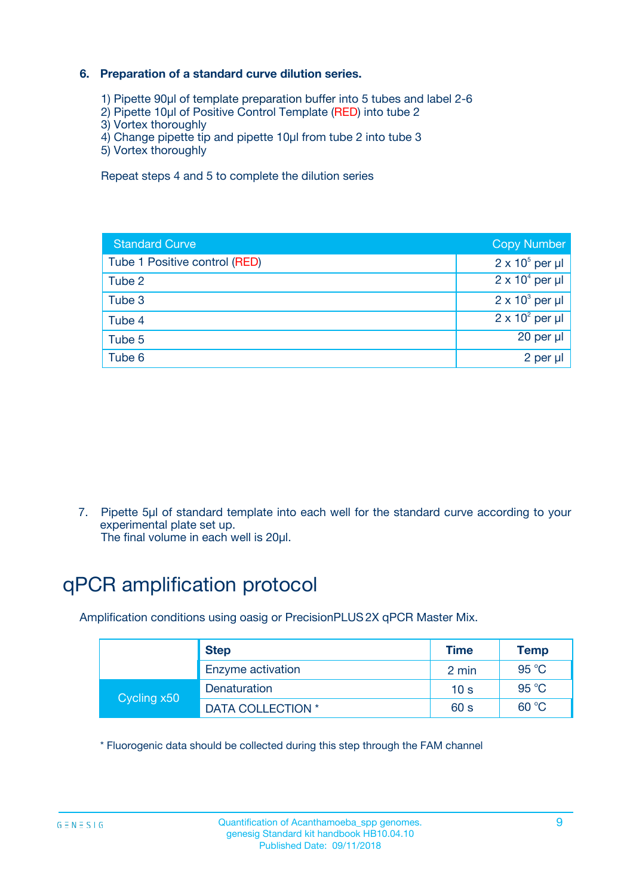### **6. Preparation of a standard curve dilution series.**

- 1) Pipette 90µl of template preparation buffer into 5 tubes and label 2-6
- 2) Pipette 10µl of Positive Control Template (RED) into tube 2
- 3) Vortex thoroughly
- 4) Change pipette tip and pipette 10µl from tube 2 into tube 3
- 5) Vortex thoroughly

Repeat steps 4 and 5 to complete the dilution series

| <b>Standard Curve</b>         | <b>Copy Number</b>     |
|-------------------------------|------------------------|
| Tube 1 Positive control (RED) | $2 \times 10^5$ per µl |
| Tube 2                        | $2 \times 10^4$ per µl |
| Tube 3                        | $2 \times 10^3$ per µl |
| Tube 4                        | $2 \times 10^2$ per µl |
| Tube 5                        | 20 per µl              |
| Tube 6                        | 2 per ul               |

7. Pipette 5µl of standard template into each well for the standard curve according to your experimental plate set up.

The final volume in each well is 20µl.

# qPCR amplification protocol

Amplification conditions using oasig or PrecisionPLUS2X qPCR Master Mix.

|             | <b>Step</b>       | <b>Time</b>     | Temp           |
|-------------|-------------------|-----------------|----------------|
|             | Enzyme activation | 2 min           | $95^{\circ}$ C |
| Cycling x50 | Denaturation      | 10 <sub>s</sub> | 95 $°C$        |
|             | DATA COLLECTION * | 60 s            | 60 °C          |

\* Fluorogenic data should be collected during this step through the FAM channel